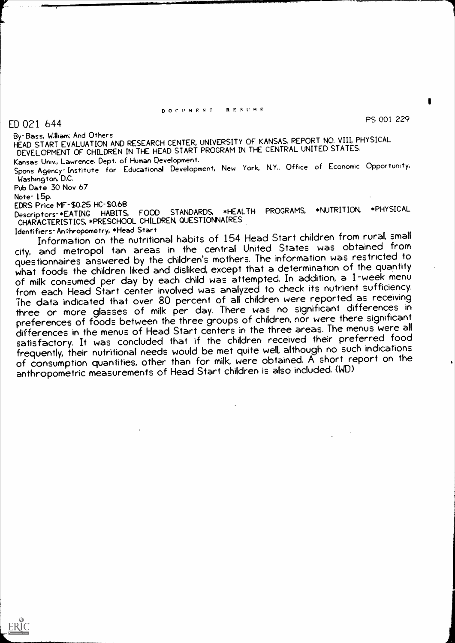#### DOCUMENT RESUME

ED 021 644 PS 001 229

By-Bass, William; And Others

HEAD START EVALUATION AND RESEARCH CENTER, UNIVERSITY OF KANSAS. REPORT NO. VIII, PHYSICAL DEVELOPMENT OF CHILDREN IN THE HEAD START PROGRAM IN THE CENTRAL UNITED STATES.

Kansas Univ., Lawrence. Dept. of Human Development. Spons Agency-Institute for Educational Development, New York, N.Y.; Office of Economic Opportunity, Washington, D.C.

Pub Date 30 Nov 67

Note- 15p.

EDRS Price MF-\$0.25 HC-\$0.68<br>Descriptors-\*FATING HABITS. FOOD STANDARDS, \*HEALTH Descriptors-\*EATING HABITS, FOOD STANDARDS, \*HEALTH PROGRAMS, \*NUTRITION \*PHYSICAL CHARACTERISTICS, \*PRESCHOOL CHILDREN, QUESTIONNAIRES

Identifiers- Anthropometry, \*Head Start

Information on the nutritional habits of 154 Head Start children from rural, small city, and metropol tan areas in the central United States was obtained from questionnaires answered by the children's mothers. The information was restricted to what foods the children liked and disliked, except that a determination of the quantity of milk consumed per day by each child was attempted. In addition, a 1-week menu from each Head Start center involved was analyzed to check its nutrient sufficiency. The data indicated that over 80 percent of all children were reported as receiving three or more glasses of milk per day. There was no significant differences in preferences of foods between the three groups of children, nor were there significant differences in the menus of Head Start centers in the three areas. The menus were all satisfactory. It was concluded that if the children received their preferred food frequently, their nutritional needs would be met quite well, although no such indications of consumption quantities, other than for milk, were obtained. A short report on the anthropometric measurements of Head Start children is also included. (WD)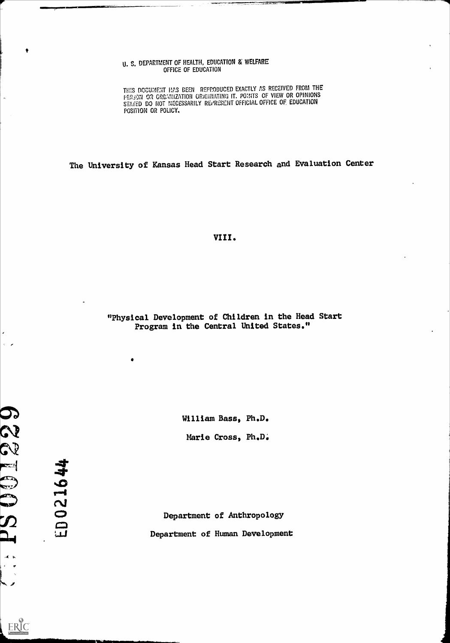#### U. S. DEPARTMENT OF HEALTH, EDUCATION & WELFARE OFFICE OF EDUCATION

THIS DOCUMENT HAS BEEN REPPODUCED EXACTLY AS RECEIVED FROM THE PER3ON OR ORGANIZATION ORIGINATING IT. POINTS OF VIEW OR OPINIONS STATED DO NOT NECESSARILY REPRESENT OFFICIAL OFFICE OF EDUCATION POSITION OR POLICY.

The University of Kansas Head Start Research and Evaluation Center

VIII.

"Physical Development of Children in the Head Start Program in the Central United States."

 $\bullet$ 

William Bass, Ph.D.

Marie Cross, Ph.D.

021644  $\begin{bmatrix} 1 \\ 1 \end{bmatrix}$ 

Department of Anthropology Department of Human Development

CV SP  $\equiv$ Q  $\mathcal{D}% _{T}=\mathcal{D}_{T}\!\left( a,b\right) ,\ \mathcal{D}_{T}=\mathcal{D}_{T}\!\left( a,b\right) ,$ 

ERIC

9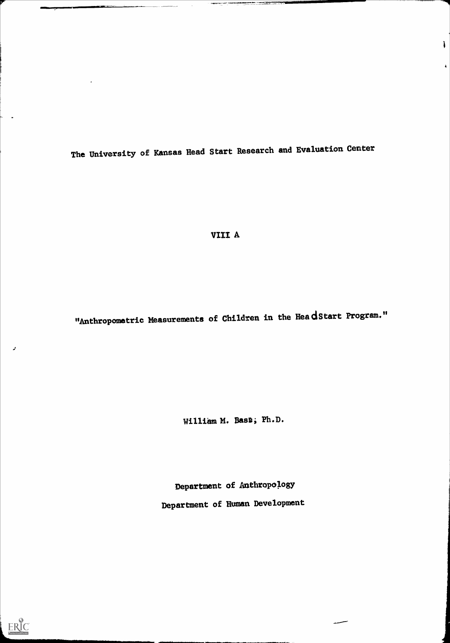The Untversity of Kansas Head Start Research and Evaluation Center

 $\mathbf{I}$ 

 $\hat{\mathbf{A}}$ 

VIII A

"Anthropometric Measurements of Children in the HeadStart Program."

William M. Bass; Ph.D.

Department of Anthropology Department of Human Development



 $\mathcal{L}$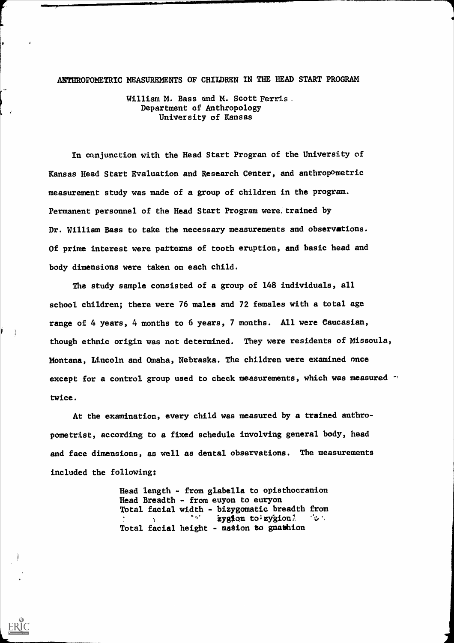#### ANTHROPOMETRIC MEASUREMENTS OF CHILDREN IN THE HEAD START PROGRAM

William M. Bass and M. Scott Ferris. Department of Anthropology University of Kansas

 $\mathcal{N}$ 

ERIC

In oanjunction with the Head Start Progran of the University of Kansas Head Start Evaluation and Research Center, and anthropometric measurement study was made of a group of children in the program. Permanent personnel of the Head Start Program were. trained by Dr. William Bass to take the necessary measurements and observations. Of prime interest were patterns of tooth eruption, and basic head and body dimensions were taken on each child.

The study sample consisted of a group of 148 individuals, all school children; there were 76 males and 72 females with a total age range of 4 years, 4 months to 6 years, 7 months. All were Caucasian, though ethnic origin was not determined. They were residents of Missoula, Montana, Lincoln and Omaha, Nebraska. The children were examined once except for a control group used to check measurements, which was measured " twice.

At the examination, every child was measured by a trained anthropometrist, according to a fixed schedule involving general body, head and face dimensions, as well as dental observations. The measurements included the following:

> Head length - from glabella to opisthocranion Head Breadth - from euyon to euryon Total facial width - bizygomatic breadth from zygion to: zygion $\frac{1}{2}$   $\cdots$ 医精力 Total facial height - masion to gnathion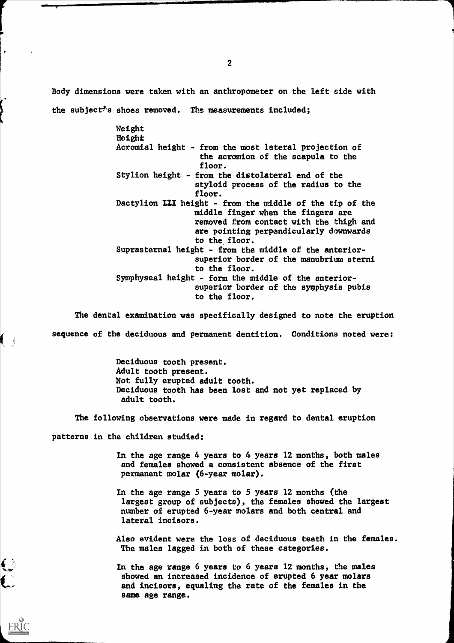Body dimensions were taken with an anthropometer on the left side with the subject<sup>\*</sup>s shoes removed. The measurements included;

> Weight Height Acromial height - from the most lateral projection of the acramion of the scapula to the floor. Stylion height - from the distolateral end of the styloid process of the radius to the floor. Dactylion LII height - from the middle of the tip of the middle ftnger when the fingers are removed from contact with the thigh and are pointing perpendicularly downwards to the floor. Suprasternal height - from the middle of the anteriorsuperior border of the manubrium sterni to fhe floor. Symphyseal height - form the middle of the anteriorsuperior border of the symphysis pubis to the floor.

The dental examination was specifically designed to note the eruption sequence of the deciduous and permanent dentition. Conditions noted were:

> Deciduous tooth present. Adult tooth present. Not fully erupted adult tooth. Deciduous tooth has been lost and not yet replaced by adult tooth.

The following observations were made in regard to dental eruption

patterns in the children studied:

 $\mathbf{C}$ 

ERIC

In the age range 4 years to 4 years 12 months, both males and females showed a consistent absence of the first permanent molar (6-year molar).

In the age range 5 years to 5 years 12 months (the largest group of subjects), the females showed the largest number of erupted 6-year molars and both central and lateral incisors.

Also evident were the loss of deciduous teeth in the females. The males lagged in both of these categories.

In the age range 6 years to 6 years 12 months, the males showed an increased incidence of erupted 6 year molars and incisors, equaling the rate of the females in the same age range.

2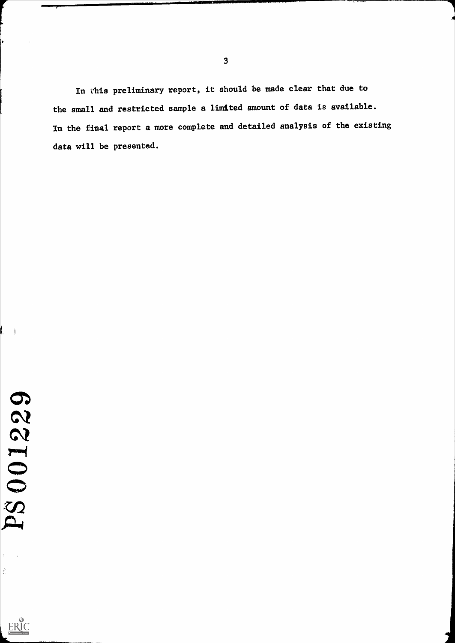In this preliminary report, it should be made clear that due to the small and restricted sample a limited amount of data is available. In the final report a more complete and detailed analysis of the existing data will be presented.

 $\frac{1}{\sqrt{2}}$ 

 $\sum_{\text{Asall test Product by EHC}}$ 

 $\parallel$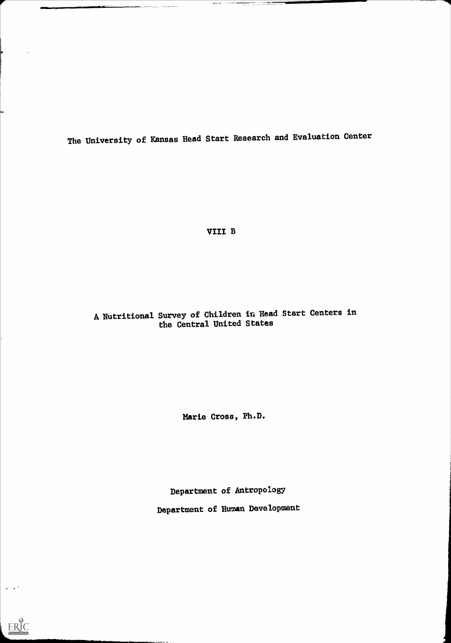The University of Kansas Head Start Research and Evaluation Center

VIII B

## A, Nutritional Survey of Children in Head Start Centers in the Central United States

Marie Cross, Ph.D.

Department of Antropology

Department of Human Development

111111111111111111111111111111111.1Mmorimimeim......--

 $ERIC$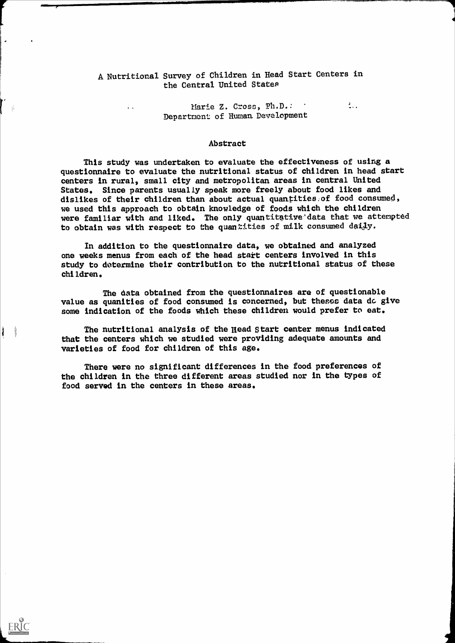### A Nutritional Survey of Children in Head Start Centers in the Central United States

 $\mathbb{Z}$ 

Marie Z. Cross, Ph.D.: Department of Human. Development

 $\frac{1}{2}$ 

#### Abstract

This study was undertaken to evaluate the effectiveness of using a questionnaire to evaluate the nutritional status of children in head start centers in rural, small city and metropolitan areas in central United States. Since parents usually speak more freely about food likes and dislikes of their children than about actual quantities:of food consumed, we used this approach to obtain knowledge of foods which the children were familiar with and liked. The only quantitative data that we attempted to obtain was with respect to the quantities of milk consumed daily.

In addition to the questionnaire data, we obtained and analyzed one weeks menus from each of the head start centers involved in this study to determine their contribution to the nutritional status of these children.

The data obtained from the questionnaires are of questionable value as quanities of food consumed is concerned, but theses data do give some indication of the foods which these children would prefer to eat.

The nutritional analysis of the Head Start center menus indicated that the centers which we studied were providing adequate amounts and varieties of food for children of this age.

There were no significant differences in the food preferences of the children in the three different areas studied nor In the types of food served in the centers In these areas.

- ji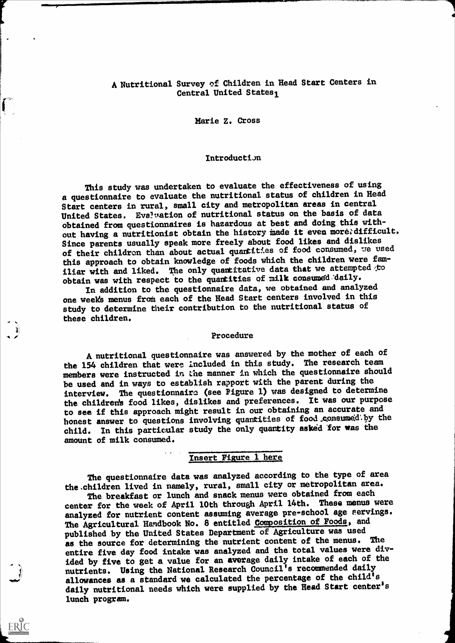### A Nutritional Survey of Children in Head Start Centers in Central United States1

Marie Z. Cross

<u>1101</u>

ERIC

### **Introduction**

This study was undertaken to evaluate the effectiveness of using a questionnaire to evaluate the nutritional status of children in Head Start centers in rural, small city and metropolitan areas in central United States. Evaluation of nutritional status on the basis of data obtained from questionnaires is hazardous at best and doing this without having a nutritionist obtain the history made it even more; difficult. Since parents usually speak more freely about food likes and dislikes of their children than about actual quartities of food consumed, we used this approach to obtain knowledge of foods which the children were familiar with and liked. The only quantitative data that we attempted to obtain was with respect to the quantities of milk consumed daily.

In addition to the questionnaire data, we obtained and analyzed one week's menus from each of the Head Start centers involved in this study to determine their contribution to the nutritional status of these children.

#### Procedure

Anutritional questionnaire was answered by the mother of eadh of the 154 children that were Included in this study. The research team members were instructed in the manner in which the questionnaire should be used and in ways to establish rapport with the parent during the interview. The questionnairo (see Pigure 1) was designed to determine the children's food likes, dislikes and preferences. It was our purpose to see if this approach might result in our obtaining an accurate and honest answer to questions involving quantities of food consumed by the child. In this particular study the only quantity asked for was the amount of milk consumed.

## Insert Figure 1 here

The questionnaire data was analyzed according to the type of area the.children lived in namely, rural, small city or metropolitan area.

The breakfast or lunch and snack menus were obtained from each center for the week of April 10th through April 14th. These menus were analyzed for nutrient content assuming average pre-school age servings. The Agricultural Handbook No. 8 entitled Composition of Foods, and published by the United States Department of Agriculture was used as the source for determining the nutrient content of the menus. The entire five day food intake was analyzed and the total values were divided by five to get a value for an average daily intake of each of the nutrients. Using the National Research Council's recommended daily allowances as a standard we calculated the percentage of the child's daily nutritional needs which were supplied by the Head Start center's lunch program.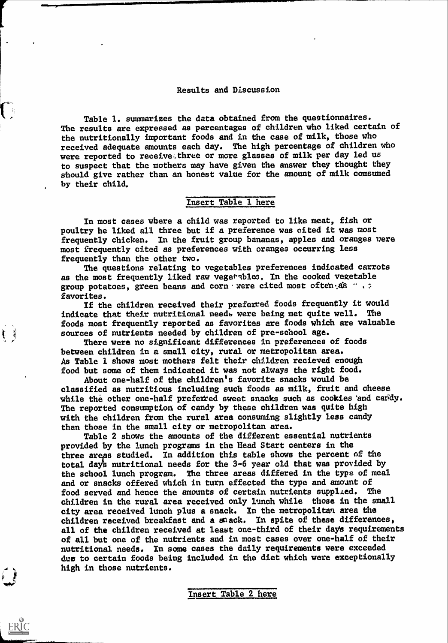#### Results and Discussion

Table 1. summarizes the data obtained from the questionnaires. The results are expressed as percentages of children who liked certain of the nutritionally important foods and in the case of milk, those who received adequate amounts each day. The high percentage of children who were reported to receive,three or more glasses of milk per day led us to suspect that the mothers may have given the answer they thought they should give rather than an honest value for the amount of milk comsumed by their child,

### Insert Table 1 here

In most cases where a child was reported to like meat, fish or poultry he liked all three but if a preference was cited it was most frequently chicken. In the fruit group bananas, apples and oranges were most frequently cited as preferences with oranges occurring less frequently than the other two.

The questions relating to vegetables preferences indicated carrots as the most frequently liked raw vegetables. In the cooked vegetable group potatoes, green beans and corn were cited most often.As  $\cdots$ favorites.

If the children received their preferred foods frequently it would indicate that their nutritional needs were being met quite well. The foods most frequently reported as favorites are foods which are valuable sources of nutrients needed by children of pre-school age.

There were no significant differences in preferences of foods between children in a small city, rural or metropolitan area. As Table 1 shows most mothers felt their children recieved enough food but some of them indicated it was not always the right food.

會 男

 $\sum$ 

ERIC

About one-half of the children's favorite snacks would be classified as nutritious including such foods as milk, fruit and cheese while the other one-half preferted sweet snacks such as cookies and cardy. The reported consumption of candy by these children was quite high with the children from the rural area consuming slightly less candy than those in the small city or metropolitan area.

Table 2 shows the amounts of the different essential nutrients provided by the lunch programs in the Head Start centers in the three areas studied. In addition this table shows the percent of the total day's nutritional needs for the 3-6 year old that was provided by the school lunch program. The three areas differed in the type of meal and or snacks offered which in turn effected the type and amount of food served and hence the amounts of certain nutrients supplied. The children in the rural area received only lunch while those in the small city area received lunch plus a snack. In the metropolitan area the children received breakfast and a snack. In spite of these differences, all of the children received at least one-third of their days requirements of all but one of the nutrients and in most cases over one-half of their nutritional needs. In some cases the daily requirements were exceeded due to certain foods being included in the diet which were exceptionally high in those nutrients.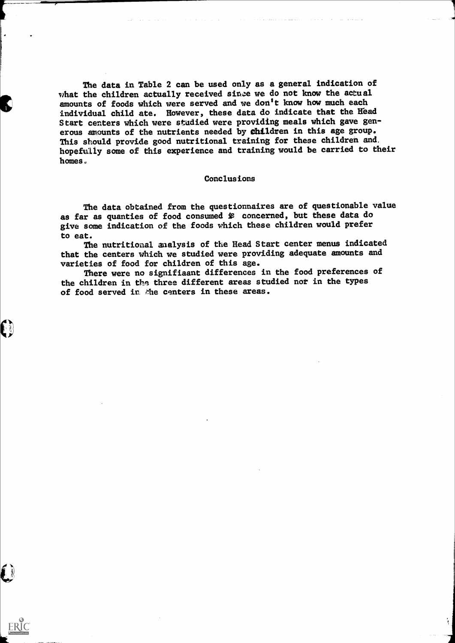The data in Table 2 can be used only as a general indication of what the children actually received since we do not know the actual amounts of foods which were served and me don't know how much each individual child ate. However, these data do indicate that the Head Start centers which were studied were providing meals which gave generous amounts of the nutrients needed by children in this age group. This should provide good nutritional training for these children and, hopefully some of this experience and training would be carried to their homes.

#### Conclusions

The data obtained from the questionnaires are of questionable value as far as quanties of food consumed is concerned, but these data do give some indication of the foods which these children would prefer to eat.

The nutritional analysis of the Head Start center menus indicated that the centers which we studied were providing adequate amounts and varieties of food for children of this age.

There were no signifiaant differences in the food preferences of the children in the three different areas studied not in the types of food served in the centers in these areas.

 $\bigcap$ 

O

ERIC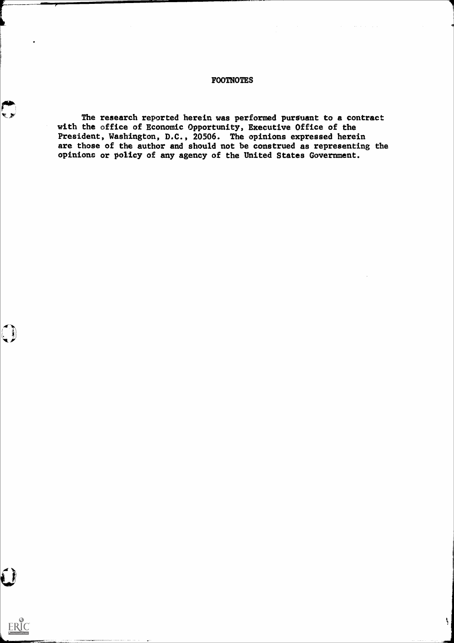### FOOTNOTES

The research reported herein was performed pursuant to a contract with the office of Economic Opportunity, Executive Office of the President, Washington, D.C., 20506. The opinions expressed herein are those of the author and should not be construed as representing the opinions or policy of any agency of the United States Government.

Ą

Linnen von der Stadt an der Stadt an der Stadt an der Stadt an der Stadt an der Stadt an der Stadt an der Stadt

ERIC

 $\bigodot$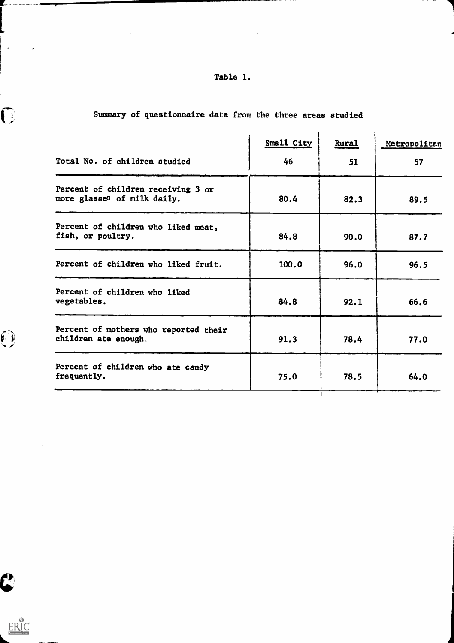## Table 1.

|                                                                   | Small City | <b>Rural</b> | Metropolitan |
|-------------------------------------------------------------------|------------|--------------|--------------|
| Total No. of children studied                                     | 46         | 51           | 57           |
| Percent of children receiving 3 or<br>more glasses of milk daily. | 80.4       | 82.3         | 89.5         |
| Percent of children who liked meat,<br>fish, or poultry.          | 84.8       | 90.0         | 87.7         |
| Percent of children who liked fruit.                              | 100.0      | 96.0         | 96.5         |
| Percent of children who liked<br>vegetables.                      | 84.8       | 92.1         | 66.6         |
| Percent of mothers who reported their<br>children ate enough.     | 91.3       | 78.4         | 77.0         |
| Percent of children who ate candy<br>frequently.                  | 75.0       | 78.5         | 64.0         |

Τ

# Summary of questionnaire data from the three areas studied

ERIC

C

 $\mathcal{A}$ 

 $\bigodot$ 

 $\epsilon$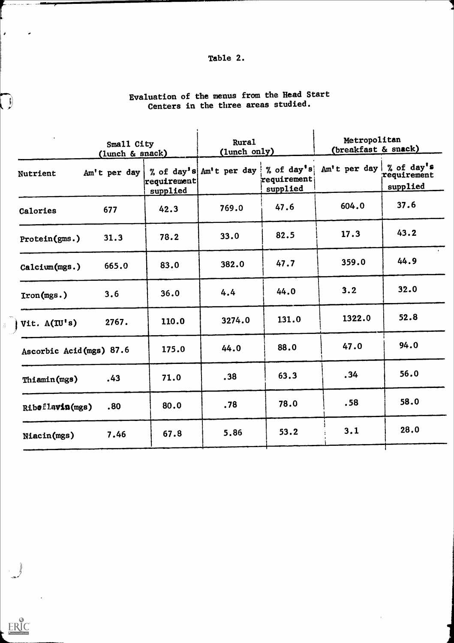## Table 2.

|                          | Small City<br>(lunch & snack) |                               | <b>Rural</b><br>(lunch only)       |                         | Metropolitan<br>(breakfast & snack) |                         |
|--------------------------|-------------------------------|-------------------------------|------------------------------------|-------------------------|-------------------------------------|-------------------------|
| <b>Nutrient</b>          | $Am't$ per day                | $ {\tt required}$<br>supplied | % of day's Am't per day % of day's | requirement<br>supplied | Am't per day   % of day's           | requirement<br>supplied |
| Calories                 | 677                           | 42.3                          | 769.0                              | 47.6                    | 604.0                               | 37.6                    |
| Protein(gms.)            | 31.3                          | 78.2                          | 33.0                               | 82.5                    | 17.3                                | 43.2                    |
| Calcium(mgs.)            | 665.0                         | 83.0                          | 382.0                              | 47.7                    | 359.0                               | 44.9                    |
| $Tron(mgs.)$             | 3.6                           | 36.0                          | 4.4                                | 44.0                    | 3.2                                 | 32.0                    |
| Vit. A(IU's)             | 2767.                         | 110.0                         | 3274.0                             | 131.0                   | 1322.0                              | 52.8                    |
| Ascorbic Acid (mgs) 87.6 |                               | 175.0                         | 44.0                               | 88.0                    | 47.0                                | 94.0                    |
| Thiamin(mgs)             | .43                           | 71.0                          | .38                                | 63.3                    | .34                                 | 56.0                    |
| Riboflavin(mgs)          | .80                           | 80.0                          | .78                                | 78.0                    | .58                                 | 58.0                    |
| Niacin(mgs)              | 7.46                          | 67.8                          | 5.86                               | 53.2                    | 3.1                                 | 28.0                    |
|                          |                               |                               |                                    |                         |                                     |                         |

 $\frac{1}{2}$ 

# Evaluation of the menus from the Head Start Centers in the three areas studied.

 $\hat{\mathcal{L}}$ 

 $\bigcup$ 

 $\mathcal{L}$ 

 $\begin{pmatrix} 1 \\ 0 \\ 0 \end{pmatrix}$ 

 $\bullet$